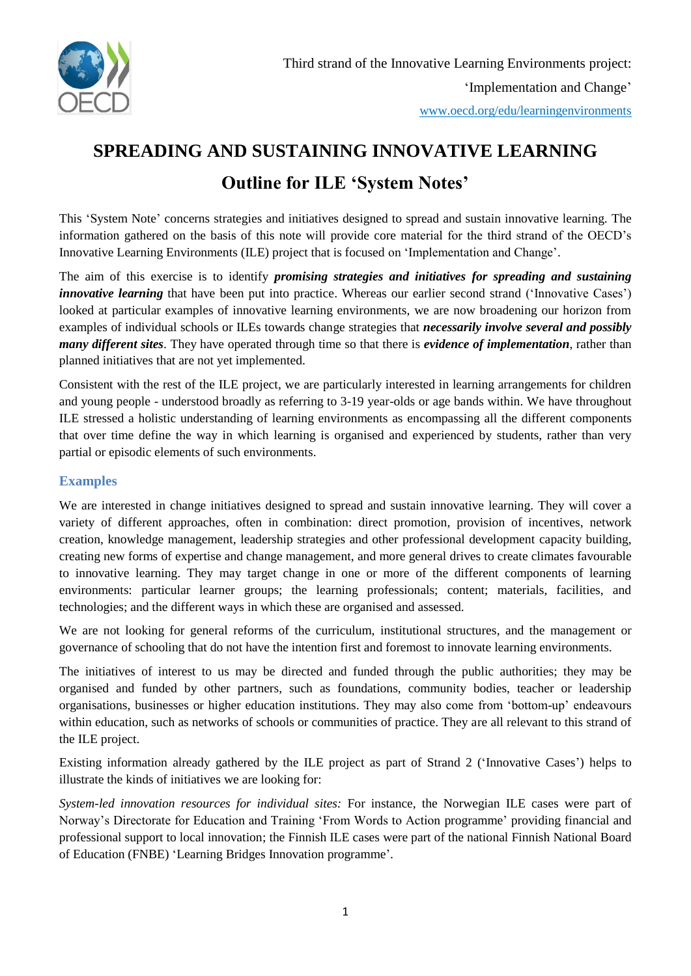

# **SPREADING AND SUSTAINING INNOVATIVE LEARNING Outline for ILE 'System Notes'**

This 'System Note' concerns strategies and initiatives designed to spread and sustain innovative learning. The information gathered on the basis of this note will provide core material for the third strand of the OECD's Innovative Learning Environments (ILE) project that is focused on 'Implementation and Change'.

The aim of this exercise is to identify *promising strategies and initiatives for spreading and sustaining innovative learning* that have been put into practice. Whereas our earlier second strand ('Innovative Cases') looked at particular examples of innovative learning environments, we are now broadening our horizon from examples of individual schools or ILEs towards change strategies that *necessarily involve several and possibly many different sites*. They have operated through time so that there is *evidence of implementation*, rather than planned initiatives that are not yet implemented.

Consistent with the rest of the ILE project, we are particularly interested in learning arrangements for children and young people - understood broadly as referring to 3-19 year-olds or age bands within. We have throughout ILE stressed a holistic understanding of learning environments as encompassing all the different components that over time define the way in which learning is organised and experienced by students, rather than very partial or episodic elements of such environments.

## **Examples**

We are interested in change initiatives designed to spread and sustain innovative learning. They will cover a variety of different approaches, often in combination: direct promotion, provision of incentives, network creation, knowledge management, leadership strategies and other professional development capacity building, creating new forms of expertise and change management, and more general drives to create climates favourable to innovative learning. They may target change in one or more of the different components of learning environments: particular learner groups; the learning professionals; content; materials, facilities, and technologies; and the different ways in which these are organised and assessed.

We are not looking for general reforms of the curriculum, institutional structures, and the management or governance of schooling that do not have the intention first and foremost to innovate learning environments.

The initiatives of interest to us may be directed and funded through the public authorities; they may be organised and funded by other partners, such as foundations, community bodies, teacher or leadership organisations, businesses or higher education institutions. They may also come from 'bottom-up' endeavours within education, such as networks of schools or communities of practice. They are all relevant to this strand of the ILE project.

Existing information already gathered by the ILE project as part of Strand 2 ('Innovative Cases') helps to illustrate the kinds of initiatives we are looking for:

*System-led innovation resources for individual sites:* For instance, the Norwegian ILE cases were part of Norway's Directorate for Education and Training 'From Words to Action programme' providing financial and professional support to local innovation; the Finnish ILE cases were part of the national Finnish National Board of Education (FNBE) 'Learning Bridges Innovation programme'.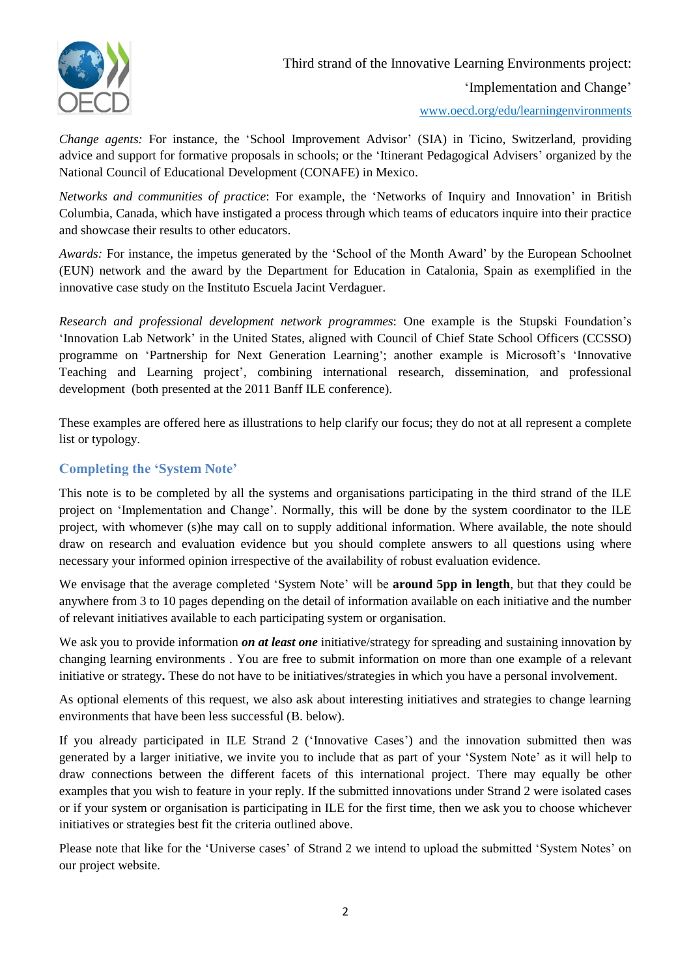

Third strand of the Innovative Learning Environments project:

'Implementation and Change'

www.oecd.org/edu/learningenvironments

*Change agents:* For instance, the 'School Improvement Advisor' (SIA) in Ticino, Switzerland, providing advice and support for formative proposals in schools; or the 'Itinerant Pedagogical Advisers' organized by the National Council of Educational Development (CONAFE) in Mexico.

*Networks and communities of practice*: For example, the 'Networks of Inquiry and Innovation' in British Columbia, Canada, which have instigated a process through which teams of educators inquire into their practice and showcase their results to other educators.

*Awards:* For instance, the impetus generated by the 'School of the Month Award' by the European Schoolnet (EUN) network and the award by the Department for Education in Catalonia, Spain as exemplified in the innovative case study on the Instituto Escuela Jacint Verdaguer.

*Research and professional development network programmes*: One example is the Stupski Foundation's 'Innovation Lab Network' in the United States, aligned with Council of Chief State School Officers (CCSSO) programme on ['Partnership for Next Generation Learning](http://www.ccsso.org/Resources/Programs/Partnership_for_Next_Generation_Learning.html)'; another example is Microsoft's 'Innovative Teaching and Learning project', combining international research, dissemination, and professional development (both presented at the 2011 Banff ILE conference).

These examples are offered here as illustrations to help clarify our focus; they do not at all represent a complete list or typology.

# **Completing the 'System Note'**

This note is to be completed by all the systems and organisations participating in the third strand of the ILE project on 'Implementation and Change'. Normally, this will be done by the system coordinator to the ILE project, with whomever (s)he may call on to supply additional information. Where available, the note should draw on research and evaluation evidence but you should complete answers to all questions using where necessary your informed opinion irrespective of the availability of robust evaluation evidence.

We envisage that the average completed 'System Note' will be **around 5pp in length**, but that they could be anywhere from 3 to 10 pages depending on the detail of information available on each initiative and the number of relevant initiatives available to each participating system or organisation.

We ask you to provide information *on at least one* initiative/strategy for spreading and sustaining innovation by changing learning environments . You are free to submit information on more than one example of a relevant initiative or strategy**.** These do not have to be initiatives/strategies in which you have a personal involvement.

As optional elements of this request, we also ask about interesting initiatives and strategies to change learning environments that have been less successful (B. below).

If you already participated in ILE Strand 2 ('Innovative Cases') and the innovation submitted then was generated by a larger initiative, we invite you to include that as part of your 'System Note' as it will help to draw connections between the different facets of this international project. There may equally be other examples that you wish to feature in your reply. If the submitted innovations under Strand 2 were isolated cases or if your system or organisation is participating in ILE for the first time, then we ask you to choose whichever initiatives or strategies best fit the criteria outlined above.

Please note that like for the 'Universe cases' of Strand 2 we intend to upload the submitted 'System Notes' on our project website.